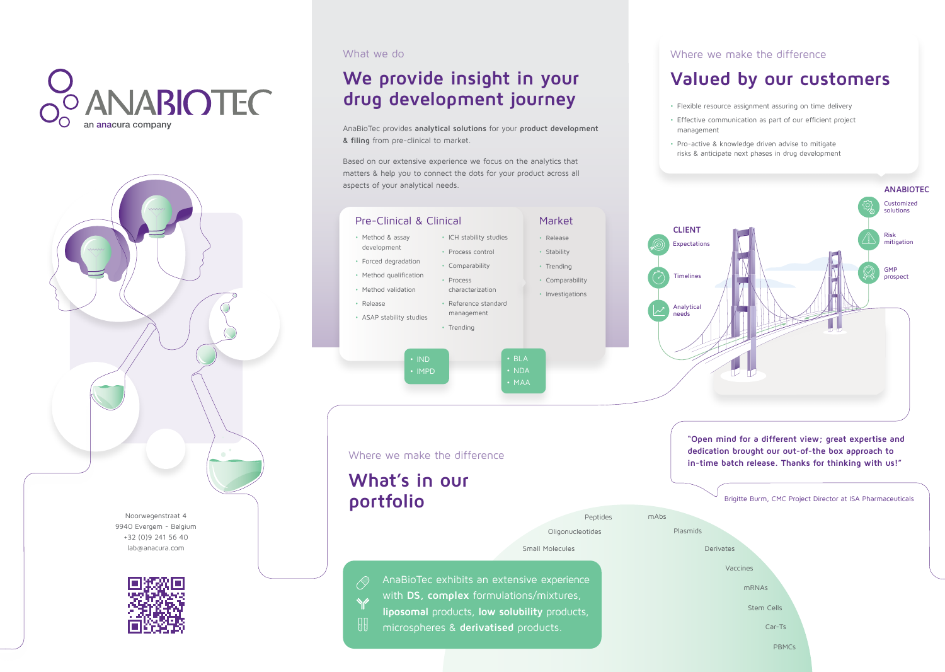



Noorwegenstraat 4 9940 Evergem - Belgium +32 (0)9 241 56 40 lab@anacura.com



## Where we make the difference

## **Valued by our customers**

• Flexible resource assignment assuring on time delivery

- 
- management
- 
- Effective communication as part of our efficient project
- Pro-active & knowledge driven advise to mitigate risks & anticipate next phases in drug development



What we do

 $\mathcal{A}$ 

# **We provide insight in your drug development journey**

AnaBioTec provides **analytical solutions** for your **product development & filing** from pre-clinical to market.

Based on our extensive experience we focus on the analytics that matters & help you to connect the dots for your product across all



AnaBioTec exhibits an extensive experience with **DS, complex** formulations/mixtures, **liposomal** products, **low solubility** products, microspheres & **derivatised** products.